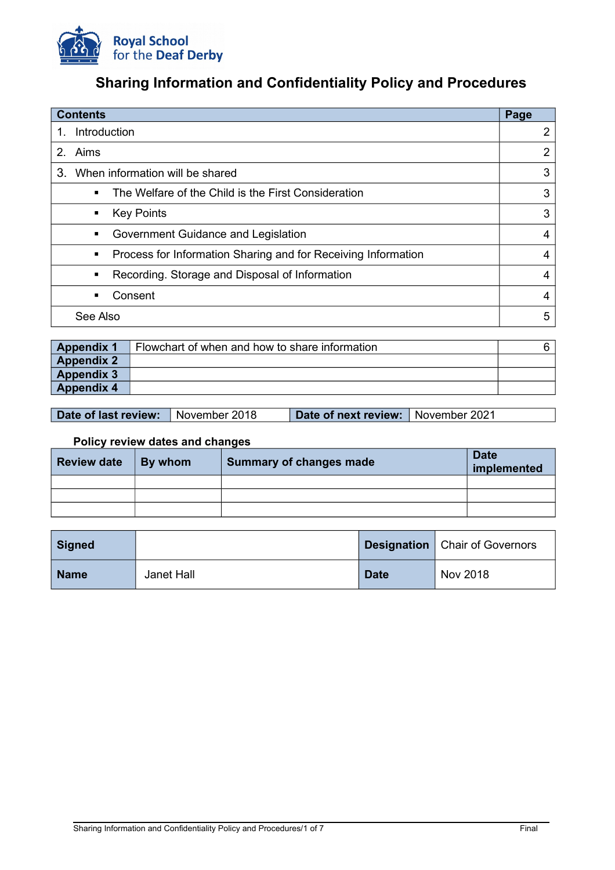

# **Sharing Information and Confidentiality Policy and Procedures**

| <b>Contents</b>                                                       | Page           |  |
|-----------------------------------------------------------------------|----------------|--|
| Introduction<br>1.                                                    |                |  |
| 2. Aims                                                               | $\overline{2}$ |  |
| 3<br>When information will be shared                                  | 3              |  |
| The Welfare of the Child is the First Consideration<br>$\blacksquare$ | 3              |  |
| <b>Key Points</b><br>٠                                                | 3              |  |
| Government Guidance and Legislation<br>٠                              | 4              |  |
| Process for Information Sharing and for Receiving Information<br>٠    | 4              |  |
| Recording. Storage and Disposal of Information<br>٠                   | 4              |  |
| Consent<br>٠                                                          | 4              |  |
| See Also                                                              | 5              |  |

| <b>Appendix 1</b> | Flowchart of when and how to share information |  |
|-------------------|------------------------------------------------|--|
| <b>Appendix 2</b> |                                                |  |
| <b>Appendix 3</b> |                                                |  |
| <b>Appendix 4</b> |                                                |  |

**Date of last review:** November 2018 **Date of next review:** November 2021

# **Policy review dates and changes**

| <b>Review date</b> | By whom | <b>Summary of changes made</b> | <b>Date</b><br>implemented |
|--------------------|---------|--------------------------------|----------------------------|
|                    |         |                                |                            |
|                    |         |                                |                            |
|                    |         |                                |                            |

| <b>Signed</b> |            |             | <b>Designation</b>   Chair of Governors |
|---------------|------------|-------------|-----------------------------------------|
| <b>Name</b>   | Janet Hall | <b>Date</b> | Nov 2018                                |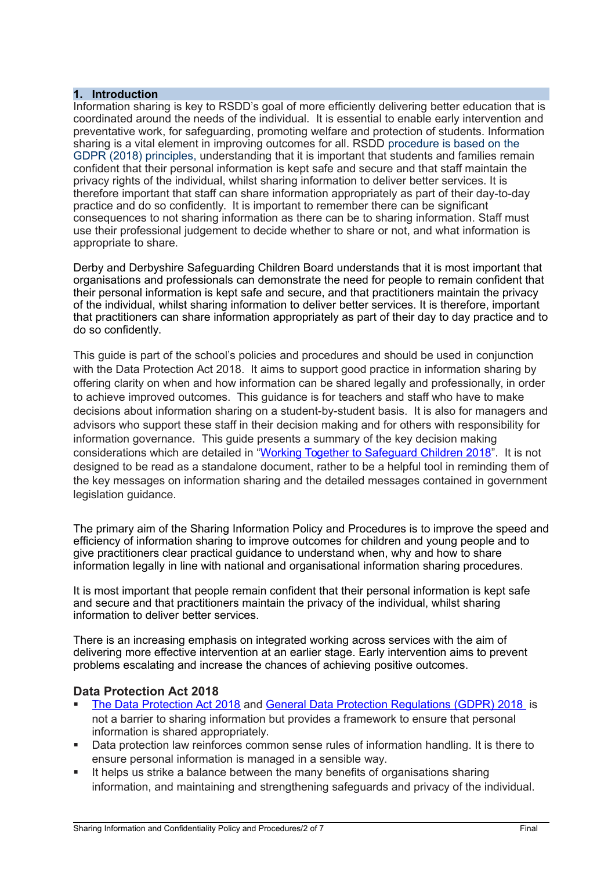## **1. Introduction**

Information sharing is key to RSDD's goal of more efficiently delivering better education that is coordinated around the needs of the individual. It is essential to enable early intervention and preventative work, for safeguarding, promoting welfare and protection of students. Information sharing is a vital element in improving outcomes for all. RSDD procedure is based on the GDPR (2018) principles, understanding that it is important that students and families remain confident that their personal information is kept safe and secure and that staff maintain the privacy rights of the individual, whilst sharing information to deliver better services. It is therefore important that staff can share information appropriately as part of their day-to-day practice and do so confidently. It is important to remember there can be significant consequences to not sharing information as there can be to sharing information. Staff must use their professional judgement to decide whether to share or not, and what information is appropriate to share.

Derby and Derbyshire Safeguarding Children Board understands that it is most important that organisations and professionals can demonstrate the need for people to remain confident that their personal information is kept safe and secure, and that practitioners maintain the privacy of the individual, whilst sharing information to deliver better services. It is therefore, important that practitioners can share information appropriately as part of their day to day practice and to do so confidently.

This guide is part of the school's policies and procedures and should be used in conjunction with the Data Protection Act 2018. It aims to support good practice in information sharing by offering clarity on when and how information can be shared legally and professionally, in order to achieve improved outcomes. This guidance is for teachers and staff who have to make decisions about information sharing on a student-by-student basis. It is also for managers and advisors who support these staff in their decision making and for others with responsibility for information governance. This guide presents a summary of the key decision making considerations which are detailed in ["Working Together to Safeguard Children 2018"](https://www.gov.uk/government/uploads/system/uploads/attachment_data/file/419595/Working_Together_to_Safeguard_Children.pdf). It is not designed to be read as a standalone document, rather to be a helpful tool in reminding them of the key messages on information sharing and the detailed messages contained in government legislation guidance.

The primary aim of the Sharing Information Policy and Procedures is to improve the speed and efficiency of information sharing to improve outcomes for children and young people and to give practitioners clear practical guidance to understand when, why and how to share information legally in line with national and organisational information sharing procedures.

It is most important that people remain confident that their personal information is kept safe and secure and that practitioners maintain the privacy of the individual, whilst sharing information to deliver better services.

There is an increasing emphasis on integrated working across services with the aim of delivering more effective intervention at an earlier stage. Early intervention aims to prevent problems escalating and increase the chances of achieving positive outcomes.

## **Data Protection Act 2018**

- [The Data Protection Act 2018](http://www.legislation.gov.uk/ukpga/1998/29/contents) and [General Data Protection Regulations \(GDPR\) 2018](https://www.gov.uk/government/publications/guide-to-the-general-data-protection-regulation) is not a barrier to sharing information but provides a framework to ensure that personal information is shared appropriately.
- Data protection law reinforces common sense rules of information handling. It is there to ensure personal information is managed in a sensible way.
- It helps us strike a balance between the many benefits of organisations sharing information, and maintaining and strengthening safeguards and privacy of the individual.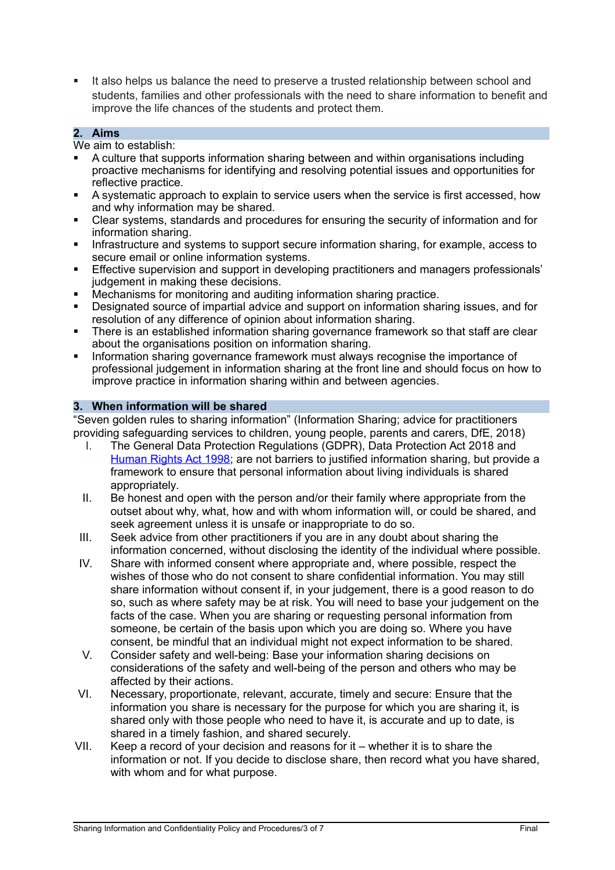It also helps us balance the need to preserve a trusted relationship between school and students, families and other professionals with the need to share information to benefit and improve the life chances of the students and protect them.

# **2. Aims**

We aim to establish:

- A culture that supports information sharing between and within organisations including proactive mechanisms for identifying and resolving potential issues and opportunities for reflective practice.
- A systematic approach to explain to service users when the service is first accessed, how and why information may be shared.
- Clear systems, standards and procedures for ensuring the security of information and for information sharing.
- Infrastructure and systems to support secure information sharing, for example, access to secure email or online information systems.
- Effective supervision and support in developing practitioners and managers professionals' judgement in making these decisions.
- Mechanisms for monitoring and auditing information sharing practice.
- Designated source of impartial advice and support on information sharing issues, and for resolution of any difference of opinion about information sharing.
- There is an established information sharing governance framework so that staff are clear about the organisations position on information sharing.
- Information sharing governance framework must always recognise the importance of professional judgement in information sharing at the front line and should focus on how to improve practice in information sharing within and between agencies.

## **3. When information will be shared**

"Seven golden rules to sharing information" (Information Sharing; advice for practitioners providing safeguarding services to children, young people, parents and carers, DfE, 2018)

- I. The General Data Protection Regulations (GDPR), Data Protection Act 2018 and [Human Rights Act 1998;](https://www.legislation.gov.uk/ukpga/1998/42/contents) are not barriers to justified information sharing, but provide a framework to ensure that personal information about living individuals is shared appropriately.
- II. Be honest and open with the person and/or their family where appropriate from the outset about why, what, how and with whom information will, or could be shared, and seek agreement unless it is unsafe or inappropriate to do so.
- III. Seek advice from other practitioners if you are in any doubt about sharing the information concerned, without disclosing the identity of the individual where possible.
- IV. Share with informed consent where appropriate and, where possible, respect the wishes of those who do not consent to share confidential information. You may still share information without consent if, in your judgement, there is a good reason to do so, such as where safety may be at risk. You will need to base your judgement on the facts of the case. When you are sharing or requesting personal information from someone, be certain of the basis upon which you are doing so. Where you have consent, be mindful that an individual might not expect information to be shared.
- V. Consider safety and well-being: Base your information sharing decisions on considerations of the safety and well-being of the person and others who may be affected by their actions.
- VI. Necessary, proportionate, relevant, accurate, timely and secure: Ensure that the information you share is necessary for the purpose for which you are sharing it, is shared only with those people who need to have it, is accurate and up to date, is shared in a timely fashion, and shared securely.
- VII. Keep a record of your decision and reasons for it whether it is to share the information or not. If you decide to disclose share, then record what you have shared, with whom and for what purpose.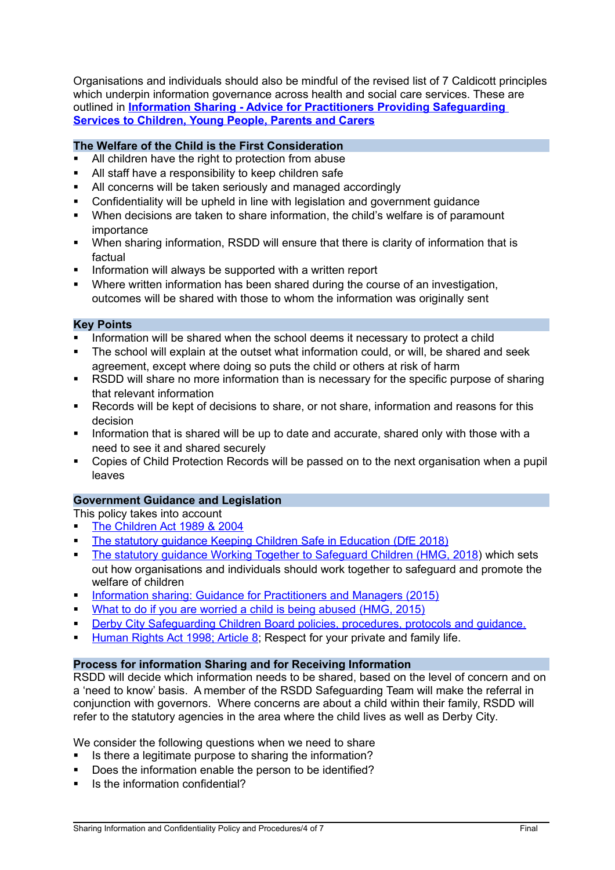Organisations and individuals should also be mindful of the revised list of 7 Caldicott principles which underpin information governance across health and social care services. These are outlined in **[Information Sharing - Advice for Practitioners Providing Safeguarding](https://assets.publishing.service.gov.uk/government/uploads/system/uploads/attachment_data/file/721581/Information_sharing_advice_practitioners_safeguarding_services.pdf)  [Services to Children, Young People, Parents and Carers](https://assets.publishing.service.gov.uk/government/uploads/system/uploads/attachment_data/file/721581/Information_sharing_advice_practitioners_safeguarding_services.pdf)**

# **The Welfare of the Child is the First Consideration**

- All children have the right to protection from abuse
- All staff have a responsibility to keep children safe
- All concerns will be taken seriously and managed accordingly
- Confidentiality will be upheld in line with legislation and government guidance
- When decisions are taken to share information, the child's welfare is of paramount importance
- When sharing information, RSDD will ensure that there is clarity of information that is factual
- **Information will always be supported with a written report**
- Where written information has been shared during the course of an investigation, outcomes will be shared with those to whom the information was originally sent

#### **Key Points**

- Information will be shared when the school deems it necessary to protect a child
- The school will explain at the outset what information could, or will, be shared and seek agreement, except where doing so puts the child or others at risk of harm
- RSDD will share no more information than is necessary for the specific purpose of sharing that relevant information
- Records will be kept of decisions to share, or not share, information and reasons for this decision
- Information that is shared will be up to date and accurate, shared only with those with a need to see it and shared securely
- Copies of Child Protection Records will be passed on to the next organisation when a pupil leaves

## **Government Guidance and Legislation**

This policy takes into account

- [The Children Act 1989 & 2004](https://www.legislation.gov.uk/ukpga/1989/41/contents)
- The statutory quidance Keeping Children Safe in Education (DfE 2018)
- The statutory quidance Working Together to Safeguard Children (HMG, 2018) which sets out how organisations and individuals should work together to safeguard and promote the welfare of children
- [Information sharing: Guidance for Practitioners and Managers \(2015\)](https://www.gov.uk/government/publications/safeguarding-practitioners-information-sharing-advice)
- [What to do if you are worried a child is being abused \(HMG, 2015\)](https://www.gov.uk/government/publications/what-to-do-if-youre-worried-a-child-is-being-abused--2)
- **[Derby City Safeguarding Children Board policies, procedures, protocols and guidance.](https://www.derbyscb.org.uk/)**
- [Human Rights Act 1998; Article 8;](https://www.equalityhumanrights.com/en/human-rights-act/article-8-respect-your-private-and-family-life) Respect for your private and family life.

## **Process for information Sharing and for Receiving Information**

RSDD will decide which information needs to be shared, based on the level of concern and on a 'need to know' basis. A member of the RSDD Safeguarding Team will make the referral in conjunction with governors. Where concerns are about a child within their family, RSDD will refer to the statutory agencies in the area where the child lives as well as Derby City.

We consider the following questions when we need to share

- Is there a legitimate purpose to sharing the information?
- Does the information enable the person to be identified?
- Is the information confidential?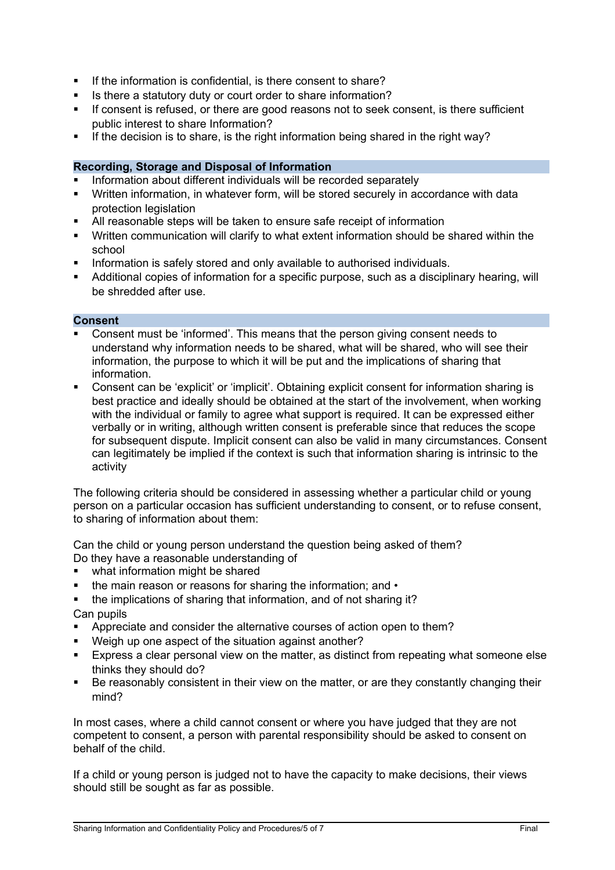- If the information is confidential, is there consent to share?
- Is there a statutory duty or court order to share information?
- If consent is refused, or there are good reasons not to seek consent, is there sufficient public interest to share Information?
- If the decision is to share, is the right information being shared in the right way?

# **Recording, Storage and Disposal of Information**

- Information about different individuals will be recorded separately
- Written information, in whatever form, will be stored securely in accordance with data protection legislation
- All reasonable steps will be taken to ensure safe receipt of information
- Written communication will clarify to what extent information should be shared within the school
- Information is safely stored and only available to authorised individuals.
- Additional copies of information for a specific purpose, such as a disciplinary hearing, will be shredded after use.

#### **Consent**

- Consent must be 'informed'. This means that the person giving consent needs to understand why information needs to be shared, what will be shared, who will see their information, the purpose to which it will be put and the implications of sharing that information.
- Consent can be 'explicit' or 'implicit'. Obtaining explicit consent for information sharing is best practice and ideally should be obtained at the start of the involvement, when working with the individual or family to agree what support is required. It can be expressed either verbally or in writing, although written consent is preferable since that reduces the scope for subsequent dispute. Implicit consent can also be valid in many circumstances. Consent can legitimately be implied if the context is such that information sharing is intrinsic to the activity

The following criteria should be considered in assessing whether a particular child or young person on a particular occasion has sufficient understanding to consent, or to refuse consent, to sharing of information about them:

Can the child or young person understand the question being asked of them? Do they have a reasonable understanding of

- what information might be shared
- the main reason or reasons for sharing the information; and •
- the implications of sharing that information, and of not sharing it?
- Can pupils
- Appreciate and consider the alternative courses of action open to them?
- Weigh up one aspect of the situation against another?
- Express a clear personal view on the matter, as distinct from repeating what someone else thinks they should do?
- Be reasonably consistent in their view on the matter, or are they constantly changing their mind?

In most cases, where a child cannot consent or where you have judged that they are not competent to consent, a person with parental responsibility should be asked to consent on behalf of the child.

If a child or young person is judged not to have the capacity to make decisions, their views should still be sought as far as possible.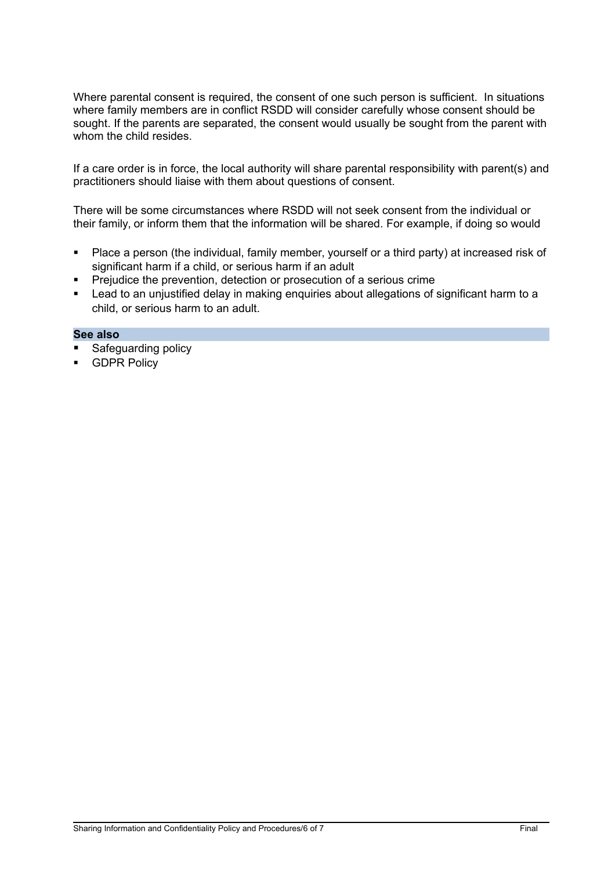Where parental consent is required, the consent of one such person is sufficient. In situations where family members are in conflict RSDD will consider carefully whose consent should be sought. If the parents are separated, the consent would usually be sought from the parent with whom the child resides.

If a care order is in force, the local authority will share parental responsibility with parent(s) and practitioners should liaise with them about questions of consent.

There will be some circumstances where RSDD will not seek consent from the individual or their family, or inform them that the information will be shared. For example, if doing so would

- Place a person (the individual, family member, yourself or a third party) at increased risk of significant harm if a child, or serious harm if an adult
- Prejudice the prevention, detection or prosecution of a serious crime
- **EXECT 4** Lead to an unjustified delay in making enquiries about allegations of significant harm to a child, or serious harm to an adult.

#### **See also**

- Safeguarding policy
- GDPR Policy